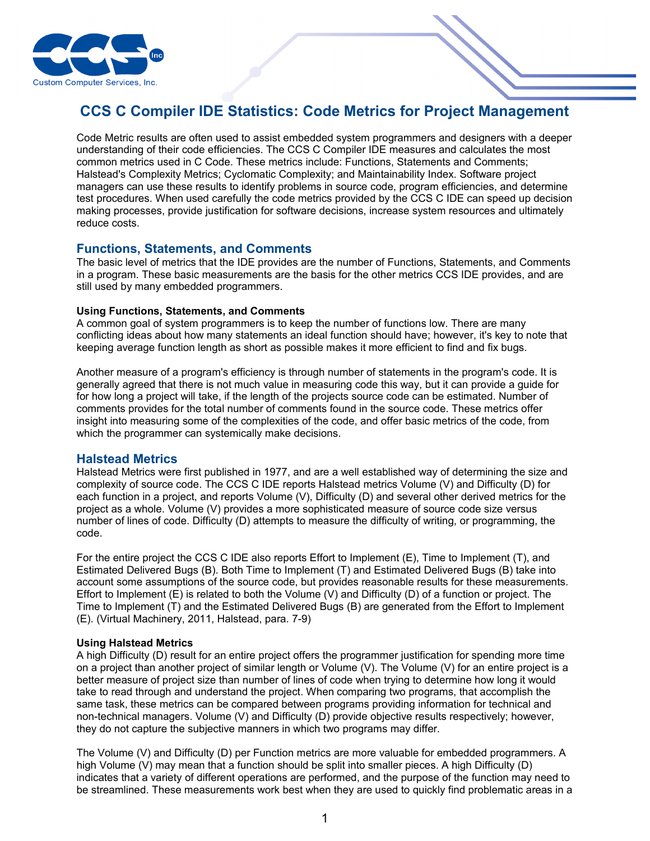

# **CCS C Compiler IDE Statistics: Code Metrics for Project Management**

Code Metric results are often used to assist embedded system programmers and designers with a deeper understanding of their code efficiencies. The CCS C Compiler IDE measures and calculates the most common metrics used in C Code. These metrics include: Functions, Statements and Comments; Halstead's Complexity Metrics; Cyclomatic Complexity; and Maintainability Index. Software project managers can use these results to identify problems in source code, program efficiencies, and determine test procedures. When used carefully the code metrics provided by the CCS C IDE can speed up decision making processes, provide justification for software decisions, increase system resources and ultimately reduce costs.

## **Functions, Statements, and Comments**

The basic level of metrics that the IDE provides are the number of Functions, Statements, and Comments in a program. These basic measurements are the basis for the other metrics CCS IDE provides, and are still used by many embedded programmers.

#### **Using Functions, Statements, and Comments**

A common goal of system programmers is to keep the number of functions low. There are many conflicting ideas about how many statements an ideal function should have; however, it's key to note that keeping average function length as short as possible makes it more efficient to find and fix bugs.

Another measure of a program's efficiency is through number of statements in the program's code. It is generally agreed that there is not much value in measuring code this way, but it can provide a guide for for how long a project will take, if the length of the projects source code can be estimated. Number of comments provides for the total number of comments found in the source code. These metrics offer insight into measuring some of the complexities of the code, and offer basic metrics of the code, from which the programmer can systemically make decisions.

## **Halstead Metrics**

Halstead Metrics were first published in 1977, and are a well established way of determining the size and complexity of source code. The CCS C IDE reports Halstead metrics Volume (V) and Difficulty (D) for each function in a project, and reports Volume (V), Difficulty (D) and several other derived metrics for the project as a whole. Volume (V) provides a more sophisticated measure of source code size versus number of lines of code. Difficulty (D) attempts to measure the difficulty of writing, or programming, the code.

For the entire project the CCS C IDE also reports Effort to Implement (E), Time to Implement (T), and Estimated Delivered Bugs (B). Both Time to Implement (T) and Estimated Delivered Bugs (B) take into account some assumptions of the source code, but provides reasonable results for these measurements. Effort to Implement (E) is related to both the Volume (V) and Difficulty (D) of a function or project. The Time to Implement (T) and the Estimated Delivered Bugs (B) are generated from the Effort to Implement (E). (Virtual Machinery, 2011, Halstead, para. 7-9)

## **Using Halstead Metrics**

A high Difficulty (D) result for an entire project offers the programmer justification for spending more time on a project than another project of similar length or Volume (V). The Volume (V) for an entire project is a better measure of project size than number of lines of code when trying to determine how long it would take to read through and understand the project. When comparing two programs, that accomplish the same task, these metrics can be compared between programs providing information for technical and non-technical managers. Volume (V) and Difficulty (D) provide objective results respectively; however, they do not capture the subjective manners in which two programs may differ.

The Volume (V) and Difficulty (D) per Function metrics are more valuable for embedded programmers. A high Volume (V) may mean that a function should be split into smaller pieces. A high Difficulty (D) indicates that a variety of different operations are performed, and the purpose of the function may need to be streamlined. These measurements work best when they are used to quickly find problematic areas in a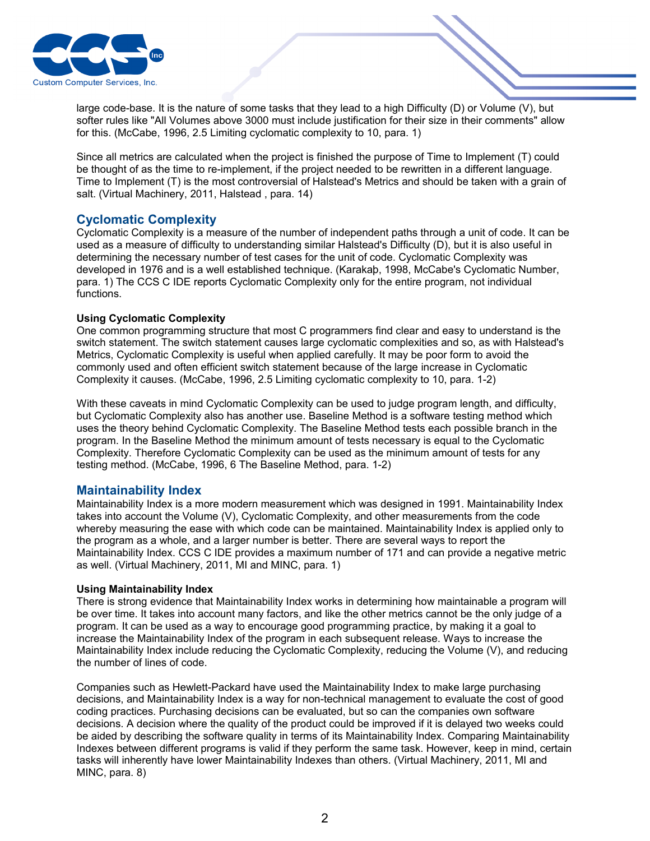

large code-base. It is the nature of some tasks that they lead to a high Difficulty (D) or Volume (V), but softer rules like "All Volumes above 3000 must include justification for their size in their comments" allow for this. (McCabe, 1996, 2.5 Limiting cyclomatic complexity to 10, para. 1)

Since all metrics are calculated when the project is finished the purpose of Time to Implement (T) could be thought of as the time to re-implement, if the project needed to be rewritten in a different language. Time to Implement (T) is the most controversial of Halstead's Metrics and should be taken with a grain of salt. (Virtual Machinery, 2011, Halstead , para. 14)

## **Cyclomatic Complexity**

Cyclomatic Complexity is a measure of the number of independent paths through a unit of code. It can be used as a measure of difficulty to understanding similar Halstead's Difficulty (D), but it is also useful in determining the necessary number of test cases for the unit of code. Cyclomatic Complexity was developed in 1976 and is a well established technique. (Karakaþ, 1998, McCabe's Cyclomatic Number, para. 1) The CCS C IDE reports Cyclomatic Complexity only for the entire program, not individual functions.

#### **Using Cyclomatic Complexity**

One common programming structure that most C programmers find clear and easy to understand is the switch statement. The switch statement causes large cyclomatic complexities and so, as with Halstead's Metrics, Cyclomatic Complexity is useful when applied carefully. It may be poor form to avoid the commonly used and often efficient switch statement because of the large increase in Cyclomatic Complexity it causes. (McCabe, 1996, 2.5 Limiting cyclomatic complexity to 10, para. 1-2)

With these caveats in mind Cyclomatic Complexity can be used to judge program length, and difficulty, but Cyclomatic Complexity also has another use. Baseline Method is a software testing method which uses the theory behind Cyclomatic Complexity. The Baseline Method tests each possible branch in the program. In the Baseline Method the minimum amount of tests necessary is equal to the Cyclomatic Complexity. Therefore Cyclomatic Complexity can be used as the minimum amount of tests for any testing method. (McCabe, 1996, 6 The Baseline Method, para. 1-2)

## **Maintainability Index**

Maintainability Index is a more modern measurement which was designed in 1991. Maintainability Index takes into account the Volume (V), Cyclomatic Complexity, and other measurements from the code whereby measuring the ease with which code can be maintained. Maintainability Index is applied only to the program as a whole, and a larger number is better. There are several ways to report the Maintainability Index. CCS C IDE provides a maximum number of 171 and can provide a negative metric as well. (Virtual Machinery, 2011, MI and MINC, para. 1)

#### **Using Maintainability Index**

There is strong evidence that Maintainability Index works in determining how maintainable a program will be over time. It takes into account many factors, and like the other metrics cannot be the only judge of a program. It can be used as a way to encourage good programming practice, by making it a goal to increase the Maintainability Index of the program in each subsequent release. Ways to increase the Maintainability Index include reducing the Cyclomatic Complexity, reducing the Volume (V), and reducing the number of lines of code.

Companies such as Hewlett-Packard have used the Maintainability Index to make large purchasing decisions, and Maintainability Index is a way for non-technical management to evaluate the cost of good coding practices. Purchasing decisions can be evaluated, but so can the companies own software decisions. A decision where the quality of the product could be improved if it is delayed two weeks could be aided by describing the software quality in terms of its Maintainability Index. Comparing Maintainability Indexes between different programs is valid if they perform the same task. However, keep in mind, certain tasks will inherently have lower Maintainability Indexes than others. (Virtual Machinery, 2011, MI and MINC, para. 8)